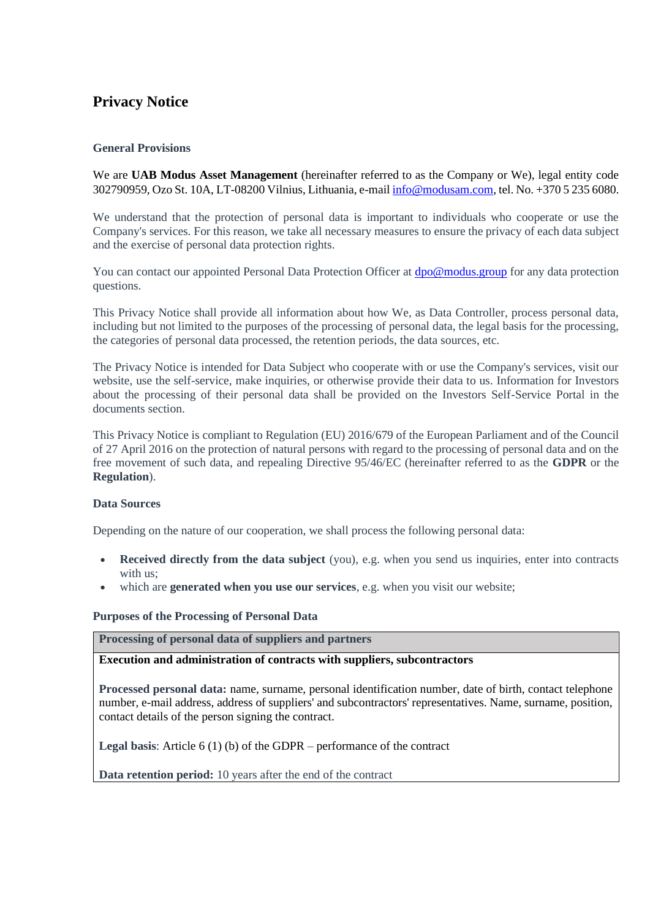# **Privacy Notice**

#### **General Provisions**

We are **UAB Modus Asset Management** (hereinafter referred to as the Company or We), legal entity code 302790959, Ozo St. 10A, LT-08200 Vilnius, Lithuania, e-mai[l info@modusam.com,](mailto:info@modusam.com) tel. No. +370 5 235 6080.

We understand that the protection of personal data is important to individuals who cooperate or use the Company's services. For this reason, we take all necessary measures to ensure the privacy of each data subject and the exercise of personal data protection rights.

You can contact our appointed Personal Data Protection Officer at [dpo@modus.group](mailto:dpo@modus.group.) for any data protection questions.

This Privacy Notice shall provide all information about how We, as Data Controller, process personal data, including but not limited to the purposes of the processing of personal data, the legal basis for the processing, the categories of personal data processed, the retention periods, the data sources, etc.

The Privacy Notice is intended for Data Subject who cooperate with or use the Company's services, visit our website, use the self-service, make inquiries, or otherwise provide their data to us. Information for Investors about the processing of their personal data shall be provided on the Investors Self-Service Portal in the documents section.

This Privacy Notice is compliant to Regulation (EU) 2016/679 of the European Parliament and of the Council of 27 April 2016 on the protection of natural persons with regard to the processing of personal data and on the free movement of such data, and repealing Directive 95/46/EC (hereinafter referred to as the **GDPR** or the **Regulation**).

#### **Data Sources**

Depending on the nature of our cooperation, we shall process the following personal data:

- **Received directly from the data subject** (you), e.g. when you send us inquiries, enter into contracts with us;
- which are **generated when you use our services**, e.g. when you visit our website;

#### **Purposes of the Processing of Personal Data**

**Processing of personal data of suppliers and partners**

#### **Execution and administration of contracts with suppliers, subcontractors**

**Processed personal data:** name, surname, personal identification number, date of birth, contact telephone number, e-mail address, address of suppliers' and subcontractors' representatives. Name, surname, position, contact details of the person signing the contract.

**Legal basis**: Article 6 (1) (b) of the GDPR – performance of the contract

**Data retention period:** 10 years after the end of the contract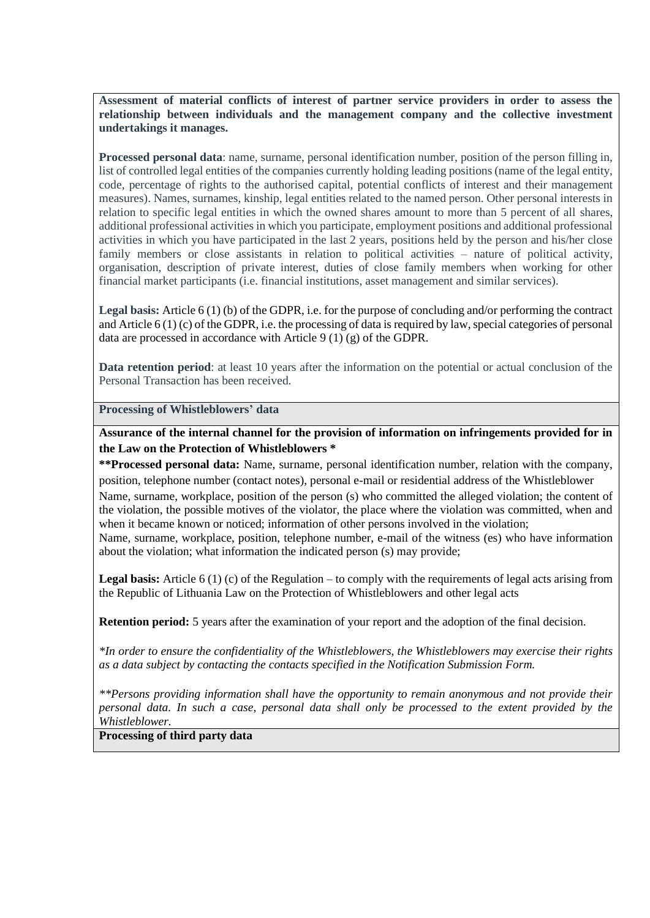**Assessment of material conflicts of interest of partner service providers in order to assess the relationship between individuals and the management company and the collective investment undertakings it manages.** 

**Processed personal data**: name, surname, personal identification number, position of the person filling in, list of controlled legal entities of the companies currently holding leading positions (name of the legal entity, code, percentage of rights to the authorised capital, potential conflicts of interest and their management measures). Names, surnames, kinship, legal entities related to the named person. Other personal interests in relation to specific legal entities in which the owned shares amount to more than 5 percent of all shares, additional professional activities in which you participate, employment positions and additional professional activities in which you have participated in the last 2 years, positions held by the person and his/her close family members or close assistants in relation to political activities – nature of political activity, organisation, description of private interest, duties of close family members when working for other financial market participants (i.e. financial institutions, asset management and similar services).

**Legal basis:** Article 6 (1) (b) of the GDPR, i.e. for the purpose of concluding and/or performing the contract and Article 6 (1) (c) of the GDPR, i.e. the processing of data is required by law, special categories of personal data are processed in accordance with Article 9 (1) (g) of the GDPR.

**Data retention period**: at least 10 years after the information on the potential or actual conclusion of the Personal Transaction has been received.

#### **Processing of Whistleblowers' data**

**Assurance of the internal channel for the provision of information on infringements provided for in the Law on the Protection of Whistleblowers \***

**\*\*Processed personal data:** Name, surname, personal identification number, relation with the company, position, telephone number (contact notes), personal e-mail or residential address of the Whistleblower Name, surname, workplace, position of the person (s) who committed the alleged violation; the content of the violation, the possible motives of the violator, the place where the violation was committed, when and when it became known or noticed; information of other persons involved in the violation; Name, surname, workplace, position, telephone number, e-mail of the witness (es) who have information about the violation; what information the indicated person (s) may provide;

**Legal basis:** Article 6 (1) (c) of the Regulation – to comply with the requirements of legal acts arising from the Republic of Lithuania Law on the Protection of Whistleblowers and other legal acts

**Retention period:** 5 years after the examination of your report and the adoption of the final decision.

*\*In order to ensure the confidentiality of the Whistleblowers, the Whistleblowers may exercise their rights as a data subject by contacting the contacts specified in the Notification Submission Form.* 

*\*\*Persons providing information shall have the opportunity to remain anonymous and not provide their personal data. In such a case, personal data shall only be processed to the extent provided by the Whistleblower.* 

## **Processing of third party data**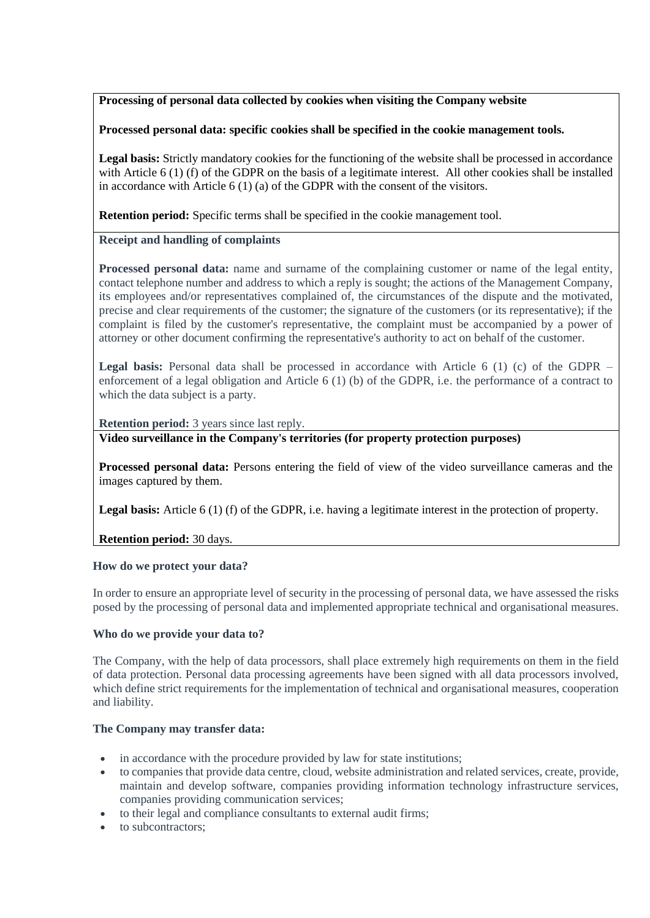## **Processing of personal data collected by cookies when visiting the Company website**

### **Processed personal data: specific cookies shall be specified in the cookie management tools.**

**Legal basis:** Strictly mandatory cookies for the functioning of the website shall be processed in accordance with Article 6 (1) (f) of the GDPR on the basis of a legitimate interest. All other cookies shall be installed in accordance with Article 6 (1) (a) of the GDPR with the consent of the visitors.

**Retention period:** Specific terms shall be specified in the cookie management tool.

#### **Receipt and handling of complaints**

**Processed personal data:** name and surname of the complaining customer or name of the legal entity, contact telephone number and address to which a reply is sought; the actions of the Management Company, its employees and/or representatives complained of, the circumstances of the dispute and the motivated, precise and clear requirements of the customer; the signature of the customers (or its representative); if the complaint is filed by the customer's representative, the complaint must be accompanied by a power of attorney or other document confirming the representative's authority to act on behalf of the customer.

**Legal basis:** Personal data shall be processed in accordance with Article 6 (1) (c) of the GDPR – enforcement of a legal obligation and Article 6 (1) (b) of the GDPR, i.e. the performance of a contract to which the data subject is a party.

**Retention period:** 3 years since last reply.

**Video surveillance in the Company's territories (for property protection purposes)**

**Processed personal data:** Persons entering the field of view of the video surveillance cameras and the images captured by them.

**Legal basis:** Article 6 (1) (f) of the GDPR, i.e. having a legitimate interest in the protection of property.

#### **Retention period:** 30 days.

#### **How do we protect your data?**

In order to ensure an appropriate level of security in the processing of personal data, we have assessed the risks posed by the processing of personal data and implemented appropriate technical and organisational measures.

#### **Who do we provide your data to?**

The Company, with the help of data processors, shall place extremely high requirements on them in the field of data protection. Personal data processing agreements have been signed with all data processors involved, which define strict requirements for the implementation of technical and organisational measures, cooperation and liability.

#### **The Company may transfer data:**

- in accordance with the procedure provided by law for state institutions;
- to companies that provide data centre, cloud, website administration and related services, create, provide, maintain and develop software, companies providing information technology infrastructure services, companies providing communication services;
- to their legal and compliance consultants to external audit firms;
- to subcontractors: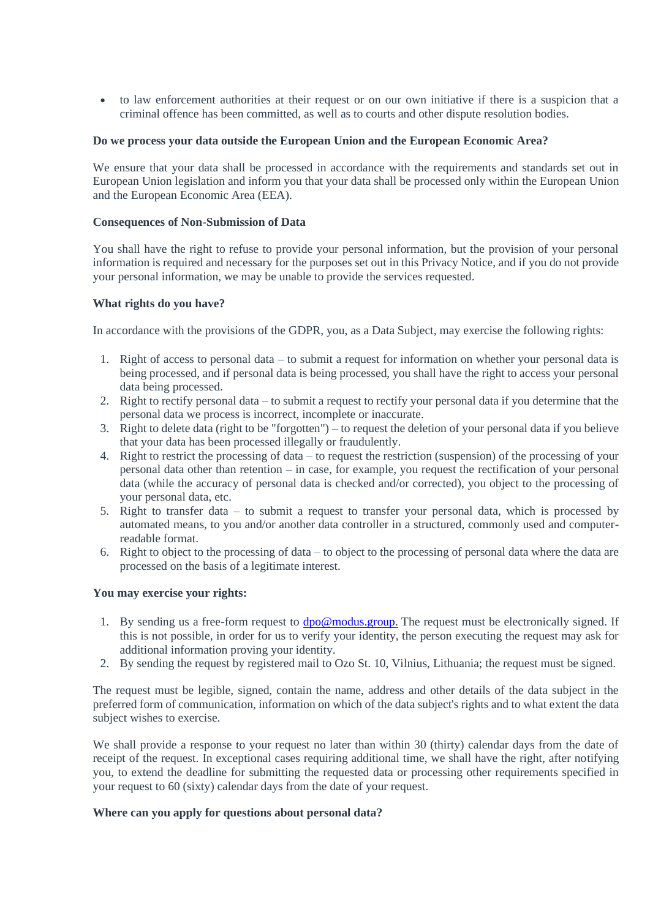• to law enforcement authorities at their request or on our own initiative if there is a suspicion that a criminal offence has been committed, as well as to courts and other dispute resolution bodies.

#### **Do we process your data outside the European Union and the European Economic Area?**

We ensure that your data shall be processed in accordance with the requirements and standards set out in European Union legislation and inform you that your data shall be processed only within the European Union and the European Economic Area (EEA).

#### **Consequences of Non-Submission of Data**

You shall have the right to refuse to provide your personal information, but the provision of your personal information is required and necessary for the purposes set out in this Privacy Notice, and if you do not provide your personal information, we may be unable to provide the services requested.

#### **What rights do you have?**

In accordance with the provisions of the GDPR, you, as a Data Subject, may exercise the following rights:

- 1. Right of access to personal data to submit a request for information on whether your personal data is being processed, and if personal data is being processed, you shall have the right to access your personal data being processed.
- 2. Right to rectify personal data to submit a request to rectify your personal data if you determine that the personal data we process is incorrect, incomplete or inaccurate.
- 3. Right to delete data (right to be "forgotten") to request the deletion of your personal data if you believe that your data has been processed illegally or fraudulently.
- 4. Right to restrict the processing of data to request the restriction (suspension) of the processing of your personal data other than retention – in case, for example, you request the rectification of your personal data (while the accuracy of personal data is checked and/or corrected), you object to the processing of your personal data, etc.
- 5. Right to transfer data to submit a request to transfer your personal data, which is processed by automated means, to you and/or another data controller in a structured, commonly used and computerreadable format.
- 6. Right to object to the processing of data to object to the processing of personal data where the data are processed on the basis of a legitimate interest.

#### **You may exercise your rights:**

- 1. By sending us a free-form request to [dpo@modus.group.](mailto:dpo@modus.group) The request must be electronically signed. If this is not possible, in order for us to verify your identity, the person executing the request may ask for additional information proving your identity.
- 2. By sending the request by registered mail to Ozo St. 10, Vilnius, Lithuania; the request must be signed.

The request must be legible, signed, contain the name, address and other details of the data subject in the preferred form of communication, information on which of the data subject's rights and to what extent the data subject wishes to exercise.

We shall provide a response to your request no later than within 30 (thirty) calendar days from the date of receipt of the request. In exceptional cases requiring additional time, we shall have the right, after notifying you, to extend the deadline for submitting the requested data or processing other requirements specified in your request to 60 (sixty) calendar days from the date of your request.

#### **Where can you apply for questions about personal data?**